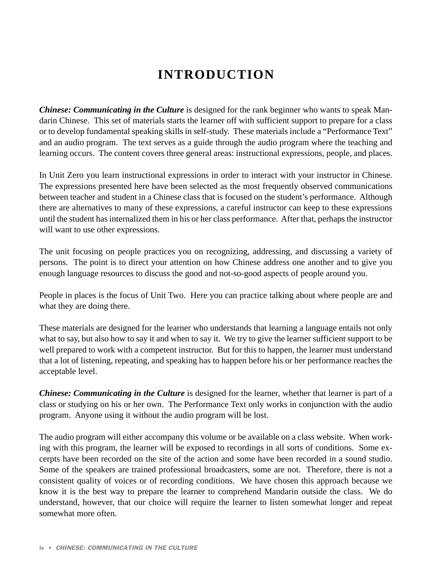# **INTRODUCTION**

*Chinese: Communicating in the Culture* is designed for the rank beginner who wants to speak Mandarin Chinese. This set of materials starts the learner off with sufficient support to prepare for a class or to develop fundamental speaking skills in self-study. These materials include a "Performance Text" and an audio program. The text serves as a guide through the audio program where the teaching and learning occurs. The content covers three general areas: instructional expressions, people, and places.

In Unit Zero you learn instructional expressions in order to interact with your instructor in Chinese. The expressions presented here have been selected as the most frequently observed communications between teacher and student in a Chinese class that is focused on the student's performance. Although there are alternatives to many of these expressions, a careful instructor can keep to these expressions until the student has internalized them in his or her class performance. After that, perhaps the instructor will want to use other expressions.

The unit focusing on people practices you on recognizing, addressing, and discussing a variety of persons. The point is to direct your attention on how Chinese address one another and to give you enough language resources to discuss the good and not-so-good aspects of people around you.

People in places is the focus of Unit Two. Here you can practice talking about where people are and what they are doing there.

These materials are designed for the learner who understands that learning a language entails not only what to say, but also how to say it and when to say it. We try to give the learner sufficient support to be well prepared to work with a competent instructor. But for this to happen, the learner must understand that a lot of listening, repeating, and speaking has to happen before his or her performance reaches the acceptable level.

*Chinese: Communicating in the Culture* is designed for the learner, whether that learner is part of a class or studying on his or her own. The Performance Text only works in conjunction with the audio program. Anyone using it without the audio program will be lost.

The audio program will either accompany this volume or be available on a class website. When working with this program, the learner will be exposed to recordings in all sorts of conditions. Some excerpts have been recorded on the site of the action and some have been recorded in a sound studio. Some of the speakers are trained professional broadcasters, some are not. Therefore, there is not a consistent quality of voices or of recording conditions. We have chosen this approach because we know it is the best way to prepare the learner to comprehend Mandarin outside the class. We do understand, however, that our choice will require the learner to listen somewhat longer and repeat somewhat more often.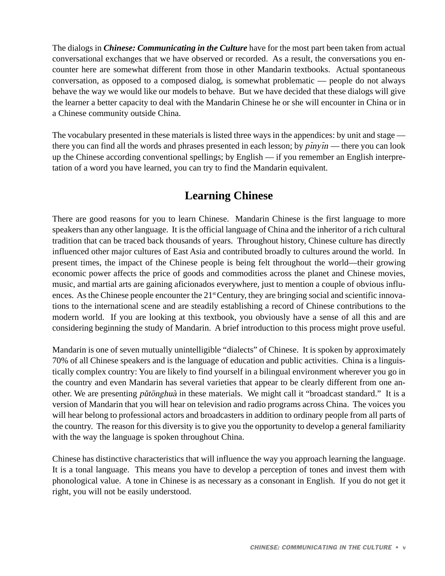The dialogs in *Chinese: Communicating in the Culture* have for the most part been taken from actual conversational exchanges that we have observed or recorded. As a result, the conversations you encounter here are somewhat different from those in other Mandarin textbooks. Actual spontaneous conversation, as opposed to a composed dialog, is somewhat problematic — people do not always behave the way we would like our models to behave. But we have decided that these dialogs will give the learner a better capacity to deal with the Mandarin Chinese he or she will encounter in China or in a Chinese community outside China.

The vocabulary presented in these materials is listed three ways in the appendices: by unit and stage there you can find all the words and phrases presented in each lesson; by  $\bar{p}$   $\bar{n}$   $\bar{p}$   $\bar{n}$   $\bar{p}$   $\bar{m}$   $\bar{p}$   $\bar{m}$   $\bar{p}$   $\bar{m}$   $\bar{p}$   $\bar{m}$   $\bar{p}$   $\bar{m}$   $\bar{p}$   $\bar{m}$   $\bar{p}$   $\bar{m}$   $\bar{p$ up the Chinese according conventional spellings; by English — if you remember an English interpretation of a word you have learned, you can try to find the Mandarin equivalent.

# **Learning Chinese**

There are good reasons for you to learn Chinese. Mandarin Chinese is the first language to more speakers than any other language. It is the official language of China and the inheritor of a rich cultural tradition that can be traced back thousands of years. Throughout history, Chinese culture has directly influenced other major cultures of East Asia and contributed broadly to cultures around the world. In present times, the impact of the Chinese people is being felt throughout the world—their growing economic power affects the price of goods and commodities across the planet and Chinese movies, music, and martial arts are gaining aficionados everywhere, just to mention a couple of obvious influences. As the Chinese people encounter the 21<sup>st</sup> Century, they are bringing social and scientific innovations to the international scene and are steadily establishing a record of Chinese contributions to the modern world. If you are looking at this textbook, you obviously have a sense of all this and are considering beginning the study of Mandarin. A brief introduction to this process might prove useful.

Mandarin is one of seven mutually unintelligible "dialects" of Chinese. It is spoken by approximately 70% of all Chinese speakers and is the language of education and public activities. China is a linguistically complex country: You are likely to find yourself in a bilingual environment wherever you go in the country and even Mandarin has several varieties that appear to be clearly different from one another. We are presenting *pǔtōnghuà* in these materials. We might call it "broadcast standard." It is a version of Mandarin that you will hear on television and radio programs across China. The voices you will hear belong to professional actors and broadcasters in addition to ordinary people from all parts of the country. The reason for this diversity is to give you the opportunity to develop a general familiarity with the way the language is spoken throughout China.

Chinese has distinctive characteristics that will influence the way you approach learning the language. It is a tonal language. This means you have to develop a perception of tones and invest them with phonological value. A tone in Chinese is as necessary as a consonant in English. If you do not get it right, you will not be easily understood.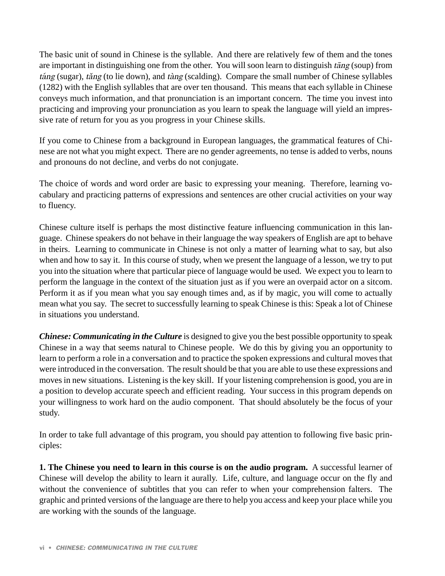The basic unit of sound in Chinese is the syllable. And there are relatively few of them and the tones are important in distinguishing one from the other. You will soon learn to distinguish  $t\bar{a}ng$  (soup) from  $t$ ang (sugar), tang (to lie down), and tang (scalding). Compare the small number of Chinese syllables (1282) with the English syllables that are over ten thousand. This means that each syllable in Chinese conveys much information, and that pronunciation is an important concern. The time you invest into practicing and improving your pronunciation as you learn to speak the language will yield an impressive rate of return for you as you progress in your Chinese skills.

If you come to Chinese from a background in European languages, the grammatical features of Chinese are not what you might expect. There are no gender agreements, no tense is added to verbs, nouns and pronouns do not decline, and verbs do not conjugate.

The choice of words and word order are basic to expressing your meaning. Therefore, learning vocabulary and practicing patterns of expressions and sentences are other crucial activities on your way to fluency.

Chinese culture itself is perhaps the most distinctive feature influencing communication in this language. Chinese speakers do not behave in their language the way speakers of English are apt to behave in theirs. Learning to communicate in Chinese is not only a matter of learning what to say, but also when and how to say it. In this course of study, when we present the language of a lesson, we try to put you into the situation where that particular piece of language would be used. We expect you to learn to perform the language in the context of the situation just as if you were an overpaid actor on a sitcom. Perform it as if you mean what you say enough times and, as if by magic, you will come to actually mean what you say. The secret to successfully learning to speak Chinese is this: Speak a lot of Chinese in situations you understand.

*Chinese: Communicating in the Culture* is designed to give you the best possible opportunity to speak Chinese in a way that seems natural to Chinese people. We do this by giving you an opportunity to learn to perform a role in a conversation and to practice the spoken expressions and cultural moves that were introduced in the conversation. The result should be that you are able to use these expressions and moves in new situations. Listening is the key skill. If your listening comprehension is good, you are in a position to develop accurate speech and efficient reading. Your success in this program depends on your willingness to work hard on the audio component. That should absolutely be the focus of your study.

In order to take full advantage of this program, you should pay attention to following five basic principles:

**1. The Chinese you need to learn in this course is on the audio program.** A successful learner of Chinese will develop the ability to learn it aurally. Life, culture, and language occur on the fly and without the convenience of subtitles that you can refer to when your comprehension falters. The graphic and printed versions of the language are there to help you access and keep your place while you are working with the sounds of the language.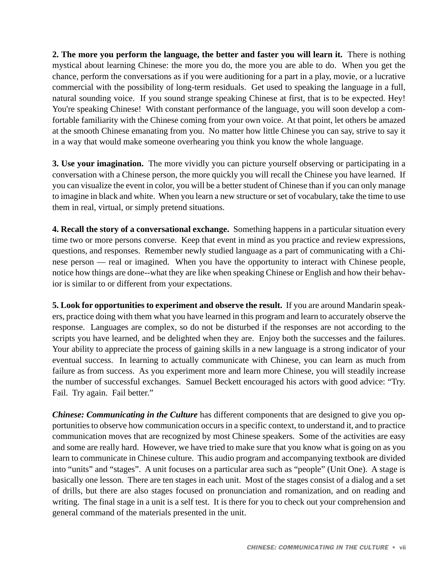**2. The more you perform the language, the better and faster you will learn it.** There is nothing mystical about learning Chinese: the more you do, the more you are able to do. When you get the chance, perform the conversations as if you were auditioning for a part in a play, movie, or a lucrative commercial with the possibility of long-term residuals. Get used to speaking the language in a full, natural sounding voice. If you sound strange speaking Chinese at first, that is to be expected. Hey! You're speaking Chinese! With constant performance of the language, you will soon develop a comfortable familiarity with the Chinese coming from your own voice. At that point, let others be amazed at the smooth Chinese emanating from you. No matter how little Chinese you can say, strive to say it in a way that would make someone overhearing you think you know the whole language.

**3. Use your imagination.** The more vividly you can picture yourself observing or participating in a conversation with a Chinese person, the more quickly you will recall the Chinese you have learned. If you can visualize the event in color, you will be a better student of Chinese than if you can only manage to imagine in black and white. When you learn a new structure or set of vocabulary, take the time to use them in real, virtual, or simply pretend situations.

**4. Recall the story of a conversational exchange.** Something happens in a particular situation every time two or more persons converse. Keep that event in mind as you practice and review expressions, questions, and responses. Remember newly studied language as a part of communicating with a Chinese person — real or imagined. When you have the opportunity to interact with Chinese people, notice how things are done--what they are like when speaking Chinese or English and how their behavior is similar to or different from your expectations.

**5. Look for opportunities to experiment and observe the result.** If you are around Mandarin speakers, practice doing with them what you have learned in this program and learn to accurately observe the response. Languages are complex, so do not be disturbed if the responses are not according to the scripts you have learned, and be delighted when they are. Enjoy both the successes and the failures. Your ability to appreciate the process of gaining skills in a new language is a strong indicator of your eventual success. In learning to actually communicate with Chinese, you can learn as much from failure as from success. As you experiment more and learn more Chinese, you will steadily increase the number of successful exchanges. Samuel Beckett encouraged his actors with good advice: "Try. Fail. Try again. Fail better."

*Chinese: Communicating in the Culture* has different components that are designed to give you opportunities to observe how communication occurs in a specific context, to understand it, and to practice communication moves that are recognized by most Chinese speakers. Some of the activities are easy and some are really hard. However, we have tried to make sure that you know what is going on as you learn to communicate in Chinese culture. This audio program and accompanying textbook are divided into "units" and "stages". A unit focuses on a particular area such as "people" (Unit One). A stage is basically one lesson. There are ten stages in each unit. Most of the stages consist of a dialog and a set of drills, but there are also stages focused on pronunciation and romanization, and on reading and writing. The final stage in a unit is a self test. It is there for you to check out your comprehension and general command of the materials presented in the unit.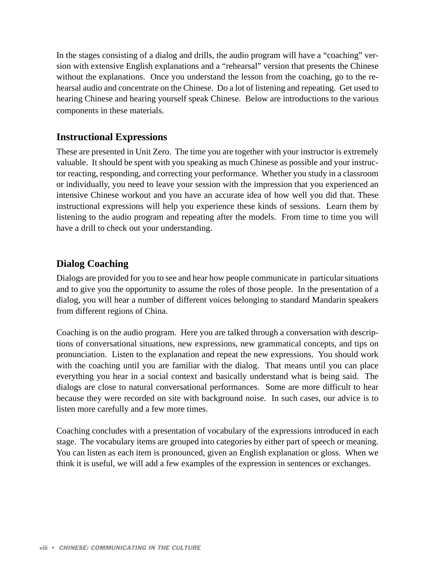In the stages consisting of a dialog and drills, the audio program will have a "coaching" version with extensive English explanations and a "rehearsal" version that presents the Chinese without the explanations. Once you understand the lesson from the coaching, go to the rehearsal audio and concentrate on the Chinese. Do a lot of listening and repeating. Get used to hearing Chinese and hearing yourself speak Chinese. Below are introductions to the various components in these materials.

#### **Instructional Expressions**

These are presented in Unit Zero. The time you are together with your instructor is extremely valuable. It should be spent with you speaking as much Chinese as possible and your instructor reacting, responding, and correcting your performance. Whether you study in a classroom or individually, you need to leave your session with the impression that you experienced an intensive Chinese workout and you have an accurate idea of how well you did that. These instructional expressions will help you experience these kinds of sessions. Learn them by listening to the audio program and repeating after the models. From time to time you will have a drill to check out your understanding.

#### **Dialog Coaching**

Dialogs are provided for you to see and hear how people communicate in particular situations and to give you the opportunity to assume the roles of those people. In the presentation of a dialog, you will hear a number of different voices belonging to standard Mandarin speakers from different regions of China.

Coaching is on the audio program. Here you are talked through a conversation with descriptions of conversational situations, new expressions, new grammatical concepts, and tips on pronunciation. Listen to the explanation and repeat the new expressions. You should work with the coaching until you are familiar with the dialog. That means until you can place everything you hear in a social context and basically understand what is being said. The dialogs are close to natural conversational performances. Some are more difficult to hear because they were recorded on site with background noise. In such cases, our advice is to listen more carefully and a few more times.

Coaching concludes with a presentation of vocabulary of the expressions introduced in each stage. The vocabulary items are grouped into categories by either part of speech or meaning. You can listen as each item is pronounced, given an English explanation or gloss. When we think it is useful, we will add a few examples of the expression in sentences or exchanges.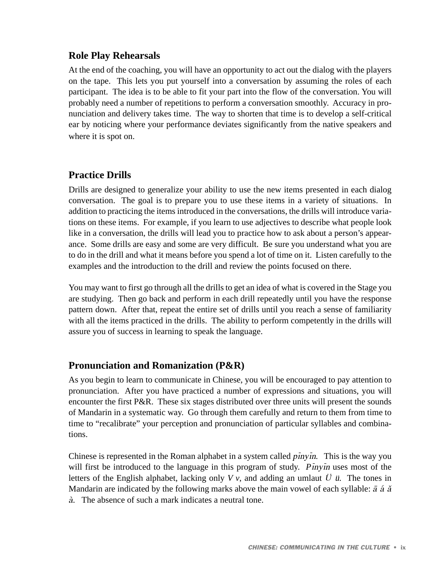### **Role Play Rehearsals**

At the end of the coaching, you will have an opportunity to act out the dialog with the players on the tape. This lets you put yourself into a conversation by assuming the roles of each participant. The idea is to be able to fit your part into the flow of the conversation. You will probably need a number of repetitions to perform a conversation smoothly. Accuracy in pronunciation and delivery takes time. The way to shorten that time is to develop a self-critical ear by noticing where your performance deviates significantly from the native speakers and where it is spot on.

### **Practice Drills**

Drills are designed to generalize your ability to use the new items presented in each dialog conversation. The goal is to prepare you to use these items in a variety of situations. In addition to practicing the items introduced in the conversations, the drills will introduce variations on these items. For example, if you learn to use adjectives to describe what people look like in a conversation, the drills will lead you to practice how to ask about a person's appearance. Some drills are easy and some are very difficult. Be sure you understand what you are to do in the drill and what it means before you spend a lot of time on it. Listen carefully to the examples and the introduction to the drill and review the points focused on there.

You may want to first go through all the drills to get an idea of what is covered in the Stage you are studying. Then go back and perform in each drill repeatedly until you have the response pattern down. After that, repeat the entire set of drills until you reach a sense of familiarity with all the items practiced in the drills. The ability to perform competently in the drills will assure you of success in learning to speak the language.

### **Pronunciation and Romanization (P&R)**

As you begin to learn to communicate in Chinese, you will be encouraged to pay attention to pronunciation. After you have practiced a number of expressions and situations, you will encounter the first P&R. These six stages distributed over three units will present the sounds of Mandarin in a systematic way. Go through them carefully and return to them from time to time to "recalibrate" your perception and pronunciation of particular syllables and combinations.

Chinese is represented in the Roman alphabet in a system called  $\overline{p}$  ny $\overline{m}$ . This is the way you will first be introduced to the language in this program of study. *Pinyin* uses most of the letters of the English alphabet, lacking only  $V v$ , and adding an umlaut  $\dot{U}$  ii. The tones in Mandarin are indicated by the following marks above the main vowel of each syllable:  $\bar{a}$   $\acute{a}$   $\acute{a}$ 3. The absence of such a mark indicates a neutral tone.